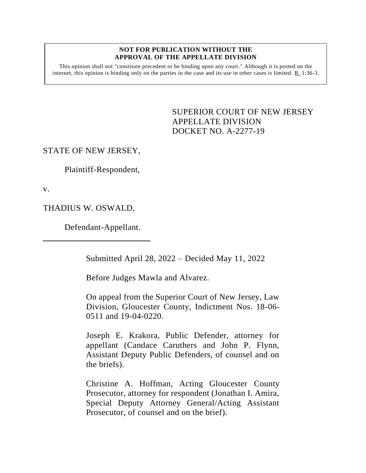#### **NOT FOR PUBLICATION WITHOUT THE APPROVAL OF THE APPELLATE DIVISION**

This opinion shall not "constitute precedent or be binding upon any court." Although it is posted on the internet, this opinion is binding only on the parties in the case and its use in other cases is limited.  $R_1$  1:36-3.

> <span id="page-0-0"></span>SUPERIOR COURT OF NEW JERSEY APPELLATE DIVISION DOCKET NO. A-2277-19

# STATE OF NEW JERSEY,

Plaintiff-Respondent,

v.

THADIUS W. OSWALD,

Defendant-Appellant.

Submitted April 28, 2022 – Decided May 11, 2022

Before Judges Mawla and Alvarez.

On appeal from the Superior Court of New Jersey, Law Division, Gloucester County, Indictment Nos. 18-06- 0511 and 19-04-0220.

Joseph E. Krakora, Public Defender, attorney for appellant (Candace Caruthers and John P. Flynn, Assistant Deputy Public Defenders, of counsel and on the briefs).

Christine A. Hoffman, Acting Gloucester County Prosecutor, attorney for respondent (Jonathan I. Amira, Special Deputy Attorney General/Acting Assistant Prosecutor, of counsel and on the brief).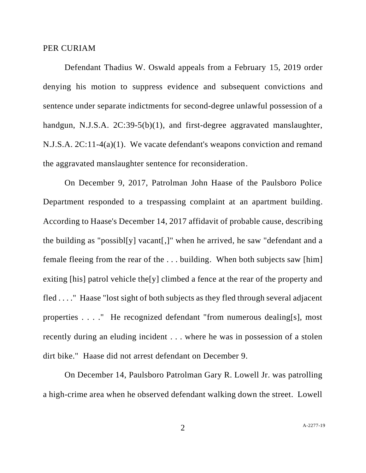### PER CURIAM

Defendant Thadius W. Oswald appeals from a February 15, 2019 order denying his motion to suppress evidence and subsequent convictions and sentence under separate indictments for second-degree unlawful possession of a handgun, N.J.S.A. 2C:39-5(b)(1), and first-degree aggravated manslaughter, N.J.S.A. 2C:11-4(a)(1). We vacate defendant's weapons conviction and remand the aggravated manslaughter sentence for reconsideration.

On December 9, 2017, Patrolman John Haase of the Paulsboro Police Department responded to a trespassing complaint at an apartment building. According to Haase's December 14, 2017 affidavit of probable cause, describing the building as "possibl[y] vacant[,]" when he arrived, he saw "defendant and a female fleeing from the rear of the . . . building. When both subjects saw [him] exiting [his] patrol vehicle the[y] climbed a fence at the rear of the property and fled . . . ." Haase "lost sight of both subjects as they fled through several adjacent properties . . . ." He recognized defendant "from numerous dealing[s], most recently during an eluding incident . . . where he was in possession of a stolen dirt bike." Haase did not arrest defendant on December 9.

On December 14, Paulsboro Patrolman Gary R. Lowell Jr. was patrolling a high-crime area when he observed defendant walking down the street. Lowell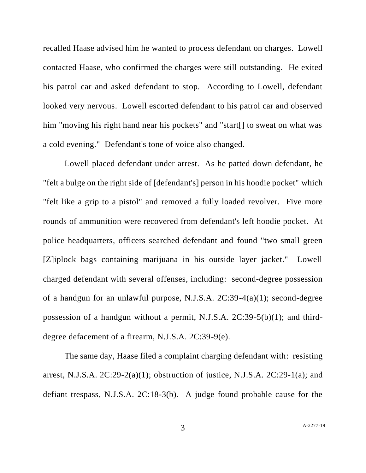recalled Haase advised him he wanted to process defendant on charges. Lowell contacted Haase, who confirmed the charges were still outstanding. He exited his patrol car and asked defendant to stop. According to Lowell, defendant looked very nervous. Lowell escorted defendant to his patrol car and observed him "moving his right hand near his pockets" and "start<sup>[]</sup> to sweat on what was a cold evening." Defendant's tone of voice also changed.

Lowell placed defendant under arrest. As he patted down defendant, he "felt a bulge on the right side of [defendant's] person in his hoodie pocket" which "felt like a grip to a pistol" and removed a fully loaded revolver. Five more rounds of ammunition were recovered from defendant's left hoodie pocket. At police headquarters, officers searched defendant and found "two small green [Z]iplock bags containing marijuana in his outside layer jacket." Lowell charged defendant with several offenses, including: second-degree possession of a handgun for an unlawful purpose, N.J.S.A. 2C:39-4(a)(1); second-degree possession of a handgun without a permit, N.J.S.A. 2C:39-5(b)(1); and thirddegree defacement of a firearm, N.J.S.A. 2C:39-9(e).

The same day, Haase filed a complaint charging defendant with: resisting arrest, N.J.S.A.  $2C:29-2(a)(1)$ ; obstruction of justice, N.J.S.A.  $2C:29-1(a)$ ; and defiant trespass, N.J.S.A. 2C:18-3(b). A judge found probable cause for the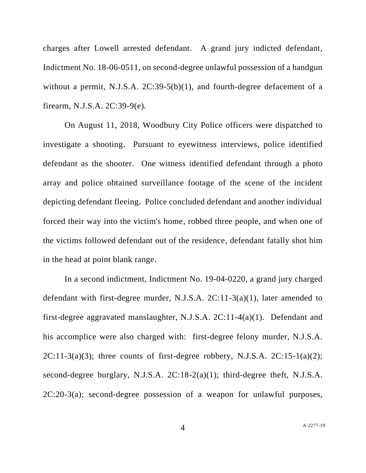charges after Lowell arrested defendant. A grand jury indicted defendant, Indictment No. 18-06-0511, on second-degree unlawful possession of a handgun without a permit, N.J.S.A. 2C:39-5(b)(1), and fourth-degree defacement of a firearm, N.J.S.A. 2C:39-9(e).

On August 11, 2018, Woodbury City Police officers were dispatched to investigate a shooting. Pursuant to eyewitness interviews, police identified defendant as the shooter. One witness identified defendant through a photo array and police obtained surveillance footage of the scene of the incident depicting defendant fleeing. Police concluded defendant and another individual forced their way into the victim's home, robbed three people, and when one of the victims followed defendant out of the residence, defendant fatally shot him in the head at point blank range.

In a second indictment, Indictment No. 19-04-0220, a grand jury charged defendant with first-degree murder, N.J.S.A. 2C:11-3(a)(1), later amended to first-degree aggravated manslaughter, N.J.S.A. 2C:11-4(a)(1). Defendant and his accomplice were also charged with: first-degree felony murder, N.J.S.A.  $2C:11-3(a)(3)$ ; three counts of first-degree robbery, N.J.S.A.  $2C:15-1(a)(2)$ ; second-degree burglary, N.J.S.A. 2C:18-2(a)(1); third-degree theft, N.J.S.A. 2C:20-3(a); second-degree possession of a weapon for unlawful purposes,

4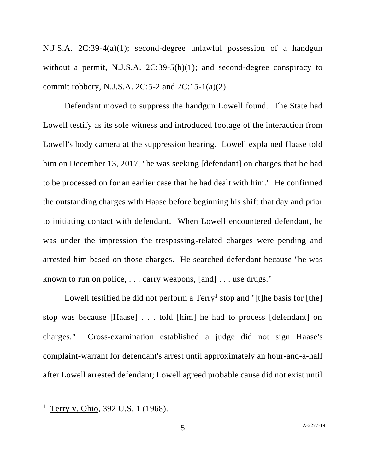N.J.S.A. 2C:39-4(a)(1); second-degree unlawful possession of a handgun without a permit, N.J.S.A.  $2C:39-5(b)(1)$ ; and second-degree conspiracy to commit robbery, N.J.S.A.  $2C:5-2$  and  $2C:15-1(a)(2)$ .

Defendant moved to suppress the handgun Lowell found. The State had Lowell testify as its sole witness and introduced footage of the interaction from Lowell's body camera at the suppression hearing. Lowell explained Haase told him on December 13, 2017, "he was seeking [defendant] on charges that he had to be processed on for an earlier case that he had dealt with him." He confirmed the outstanding charges with Haase before beginning his shift that day and prior to initiating contact with defendant. When Lowell encountered defendant, he was under the impression the trespassing-related charges were pending and arrested him based on those charges. He searched defendant because "he was known to run on police, . . . carry weapons, [and] . . . use drugs."

Lowell testified he did not perform a  $Term<sup>1</sup>$  stop and "[t]he basis for [the]</u> stop was because [Haase] . . . told [him] he had to process [defendant] on charges." Cross-examination established a judge did not sign Haase's complaint-warrant for defendant's arrest until approximately an hour-and-a-half after Lowell arrested defendant; Lowell agreed probable cause did not exist until

<sup>&</sup>lt;sup>1</sup> Terry v. Ohio, 392 U.S. 1 (1968).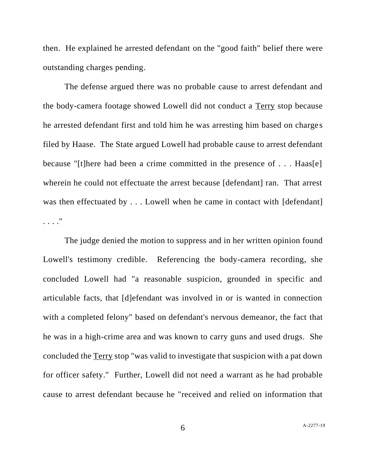then. He explained he arrested defendant on the "good faith" belief there were outstanding charges pending.

The defense argued there was no probable cause to arrest defendant and the body-camera footage showed Lowell did not conduct a Terry stop because he arrested defendant first and told him he was arresting him based on charges filed by Haase. The State argued Lowell had probable cause to arrest defendant because "[t]here had been a crime committed in the presence of . . . Haas[e] wherein he could not effectuate the arrest because [defendant] ran. That arrest was then effectuated by . . . Lowell when he came in contact with [defendant] . . . ."

The judge denied the motion to suppress and in her written opinion found Lowell's testimony credible. Referencing the body-camera recording, she concluded Lowell had "a reasonable suspicion, grounded in specific and articulable facts, that [d]efendant was involved in or is wanted in connection with a completed felony" based on defendant's nervous demeanor, the fact that he was in a high-crime area and was known to carry guns and used drugs. She concluded the Terry stop "was valid to investigate that suspicion with a pat down for officer safety." Further, Lowell did not need a warrant as he had probable cause to arrest defendant because he "received and relied on information that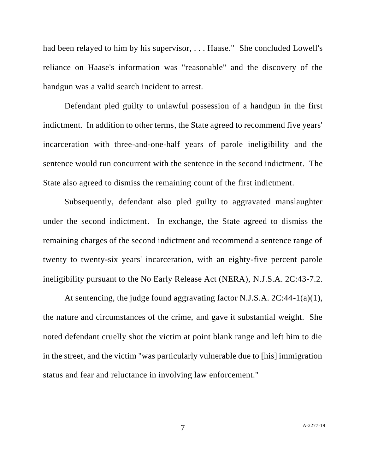had been relayed to him by his supervisor, . . . Haase." She concluded Lowell's reliance on Haase's information was "reasonable" and the discovery of the handgun was a valid search incident to arrest.

Defendant pled guilty to unlawful possession of a handgun in the first indictment. In addition to other terms, the State agreed to recommend five years' incarceration with three-and-one-half years of parole ineligibility and the sentence would run concurrent with the sentence in the second indictment. The State also agreed to dismiss the remaining count of the first indictment.

Subsequently, defendant also pled guilty to aggravated manslaughter under the second indictment. In exchange, the State agreed to dismiss the remaining charges of the second indictment and recommend a sentence range of twenty to twenty-six years' incarceration, with an eighty-five percent parole ineligibility pursuant to the No Early Release Act (NERA), N.J.S.A. 2C:43-7.2.

At sentencing, the judge found aggravating factor N.J.S.A. 2C:44-1(a)(1), the nature and circumstances of the crime, and gave it substantial weight. She noted defendant cruelly shot the victim at point blank range and left him to die in the street, and the victim "was particularly vulnerable due to [his] immigration status and fear and reluctance in involving law enforcement."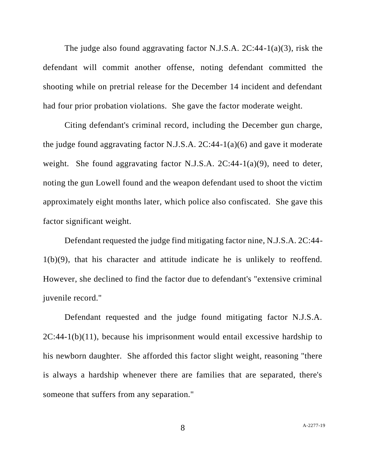The judge also found aggravating factor N.J.S.A. 2C:44-1(a)(3), risk the defendant will commit another offense, noting defendant committed the shooting while on pretrial release for the December 14 incident and defendant had four prior probation violations. She gave the factor moderate weight.

Citing defendant's criminal record, including the December gun charge, the judge found aggravating factor N.J.S.A.  $2C:44-1(a)(6)$  and gave it moderate weight. She found aggravating factor N.J.S.A. 2C:44-1(a)(9), need to deter, noting the gun Lowell found and the weapon defendant used to shoot the victim approximately eight months later, which police also confiscated. She gave this factor significant weight.

Defendant requested the judge find mitigating factor nine, N.J.S.A. 2C:44- 1(b)(9), that his character and attitude indicate he is unlikely to reoffend. However, she declined to find the factor due to defendant's "extensive criminal juvenile record."

Defendant requested and the judge found mitigating factor N.J.S.A.  $2C:44-1(b)(11)$ , because his imprisonment would entail excessive hardship to his newborn daughter. She afforded this factor slight weight, reasoning "there is always a hardship whenever there are families that are separated, there's someone that suffers from any separation."

8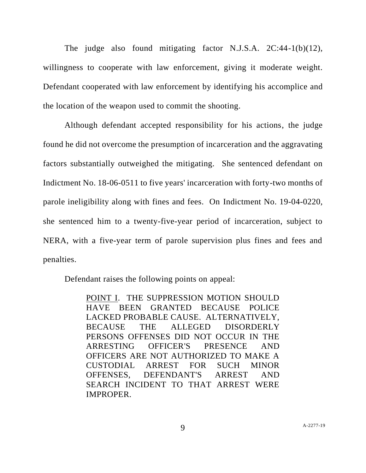The judge also found mitigating factor N.J.S.A. 2C:44-1(b)(12), willingness to cooperate with law enforcement, giving it moderate weight. Defendant cooperated with law enforcement by identifying his accomplice and the location of the weapon used to commit the shooting.

Although defendant accepted responsibility for his actions, the judge found he did not overcome the presumption of incarceration and the aggravating factors substantially outweighed the mitigating. She sentenced defendant on Indictment No. 18-06-0511 to five years' incarceration with forty-two months of parole ineligibility along with fines and fees. On Indictment No. 19-04-0220, she sentenced him to a twenty-five-year period of incarceration, subject to NERA, with a five-year term of parole supervision plus fines and fees and penalties.

Defendant raises the following points on appeal:

POINT I. THE SUPPRESSION MOTION SHOULD HAVE BEEN GRANTED BECAUSE POLICE LACKED PROBABLE CAUSE. ALTERNATIVELY, BECAUSE THE ALLEGED DISORDERLY PERSONS OFFENSES DID NOT OCCUR IN THE ARRESTING OFFICER'S PRESENCE AND OFFICERS ARE NOT AUTHORIZED TO MAKE A CUSTODIAL ARREST FOR SUCH MINOR OFFENSES, DEFENDANT'S ARREST AND SEARCH INCIDENT TO THAT ARREST WERE IMPROPER.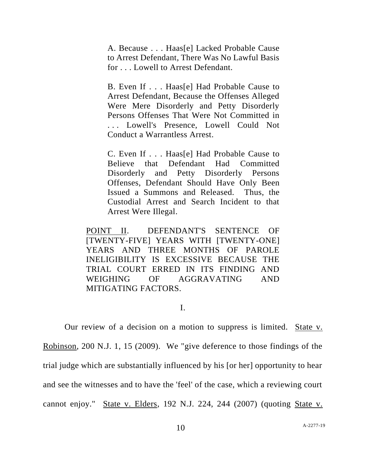A. Because . . . Haas[e] Lacked Probable Cause to Arrest Defendant, There Was No Lawful Basis for . . . Lowell to Arrest Defendant.

B. Even If . . . Haas[e] Had Probable Cause to Arrest Defendant, Because the Offenses Alleged Were Mere Disorderly and Petty Disorderly Persons Offenses That Were Not Committed in . . . Lowell's Presence, Lowell Could Not Conduct a Warrantless Arrest.

C. Even If . . . Haas[e] Had Probable Cause to Believe that Defendant Had Committed Disorderly and Petty Disorderly Persons Offenses, Defendant Should Have Only Been Issued a Summons and Released. Thus, the Custodial Arrest and Search Incident to that Arrest Were Illegal.

POINT II. DEFENDANT'S SENTENCE OF [TWENTY-FIVE] YEARS WITH [TWENTY-ONE] YEARS AND THREE MONTHS OF PAROLE INELIGIBILITY IS EXCESSIVE BECAUSE THE TRIAL COURT ERRED IN ITS FINDING AND WEIGHING OF AGGRAVATING AND MITIGATING FACTORS.

I.

Our review of a decision on a motion to suppress is limited. State v. Robinson, 200 N.J. 1, 15 (2009). We "give deference to those findings of the trial judge which are substantially influenced by his [or her] opportunity to hear and see the witnesses and to have the 'feel' of the case, which a reviewing court cannot enjoy." State v. Elders, 192 N.J. 224, 244 (2007) (quoting State v.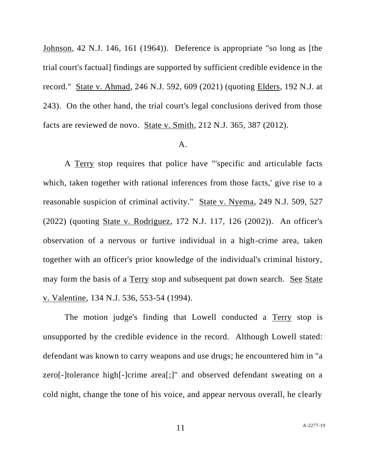Johnson, 42 N.J. 146, 161 (1964)). Deference is appropriate "so long as [the trial court's factual] findings are supported by sufficient credible evidence in the record." State v. Ahmad, 246 N.J. 592, 609 (2021) (quoting Elders, 192 N.J. at 243). On the other hand, the trial court's legal conclusions derived from those facts are reviewed de novo. State v. Smith, 212 N.J. 365, 387 (2012).

## A.

A Terry stop requires that police have "'specific and articulable facts which, taken together with rational inferences from those facts,' give rise to a reasonable suspicion of criminal activity." State v. Nyema, 249 N.J. 509, 527 (2022) (quoting State v. Rodriguez, 172 N.J. 117, 126 (2002)). An officer's observation of a nervous or furtive individual in a high-crime area, taken together with an officer's prior knowledge of the individual's criminal history, may form the basis of a Terry stop and subsequent pat down search. See State v. Valentine, 134 N.J. 536, 553-54 (1994).

The motion judge's finding that Lowell conducted a Terry stop is unsupported by the credible evidence in the record. Although Lowell stated: defendant was known to carry weapons and use drugs; he encountered him in "a zero[-]tolerance high[-]crime area[;]" and observed defendant sweating on a cold night, change the tone of his voice, and appear nervous overall, he clearly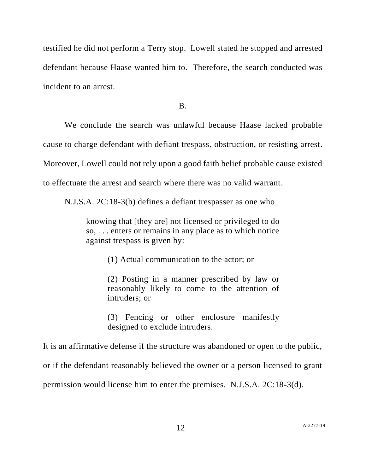testified he did not perform a Terry stop. Lowell stated he stopped and arrested defendant because Haase wanted him to. Therefore, the search conducted was incident to an arrest.

B.

We conclude the search was unlawful because Haase lacked probable cause to charge defendant with defiant trespass, obstruction, or resisting arrest. Moreover, Lowell could not rely upon a good faith belief probable cause existed to effectuate the arrest and search where there was no valid warrant.

N.J.S.A. 2C:18-3(b) defines a defiant trespasser as one who

knowing that [they are] not licensed or privileged to do so, . . . enters or remains in any place as to which notice against trespass is given by:

(1) Actual communication to the actor; or

(2) Posting in a manner prescribed by law or reasonably likely to come to the attention of intruders; or

(3) Fencing or other enclosure manifestly designed to exclude intruders.

It is an affirmative defense if the structure was abandoned or open to the public, or if the defendant reasonably believed the owner or a person licensed to grant

permission would license him to enter the premises. N.J.S.A. 2C:18-3(d).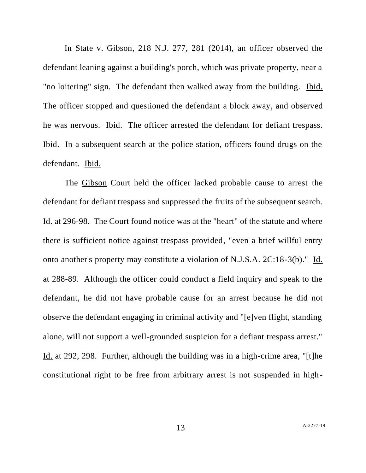In State v. Gibson, 218 N.J. 277, 281 (2014), an officer observed the defendant leaning against a building's porch, which was private property, near a "no loitering" sign. The defendant then walked away from the building. Ibid. The officer stopped and questioned the defendant a block away, and observed he was nervous. Ibid. The officer arrested the defendant for defiant trespass. Ibid. In a subsequent search at the police station, officers found drugs on the defendant. Ibid.

The Gibson Court held the officer lacked probable cause to arrest the defendant for defiant trespass and suppressed the fruits of the subsequent search. Id. at 296-98. The Court found notice was at the "heart" of the statute and where there is sufficient notice against trespass provided, "even a brief willful entry onto another's property may constitute a violation of N.J.S.A. 2C:18-3(b)." Id. at 288-89. Although the officer could conduct a field inquiry and speak to the defendant, he did not have probable cause for an arrest because he did not observe the defendant engaging in criminal activity and "[e]ven flight, standing alone, will not support a well-grounded suspicion for a defiant trespass arrest." Id. at 292, 298. Further, although the building was in a high-crime area, "[t]he constitutional right to be free from arbitrary arrest is not suspended in high-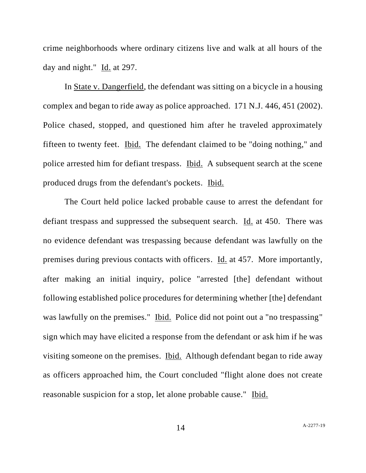crime neighborhoods where ordinary citizens live and walk at all hours of the day and night." Id. at 297.

In State v. Dangerfield, the defendant was sitting on a bicycle in a housing complex and began to ride away as police approached. 171 N.J. 446, 451 (2002). Police chased, stopped, and questioned him after he traveled approximately fifteen to twenty feet. Ibid. The defendant claimed to be "doing nothing," and police arrested him for defiant trespass. Ibid. A subsequent search at the scene produced drugs from the defendant's pockets. Ibid.

The Court held police lacked probable cause to arrest the defendant for defiant trespass and suppressed the subsequent search. Id. at 450. There was no evidence defendant was trespassing because defendant was lawfully on the premises during previous contacts with officers. Id. at 457. More importantly, after making an initial inquiry, police "arrested [the] defendant without following established police procedures for determining whether [the] defendant was lawfully on the premises." Ibid. Police did not point out a "no trespassing" sign which may have elicited a response from the defendant or ask him if he was visiting someone on the premises. Ibid. Although defendant began to ride away as officers approached him, the Court concluded "flight alone does not create reasonable suspicion for a stop, let alone probable cause." Ibid.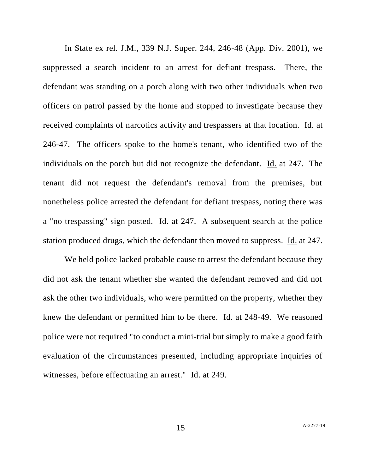In State ex rel. J.M., 339 N.J. Super. 244, 246-48 (App. Div. 2001), we suppressed a search incident to an arrest for defiant trespass. There, the defendant was standing on a porch along with two other individuals when two officers on patrol passed by the home and stopped to investigate because they received complaints of narcotics activity and trespassers at that location. Id. at 246-47. The officers spoke to the home's tenant, who identified two of the individuals on the porch but did not recognize the defendant. Id. at 247. The tenant did not request the defendant's removal from the premises, but nonetheless police arrested the defendant for defiant trespass, noting there was a "no trespassing" sign posted. Id. at 247. A subsequent search at the police station produced drugs, which the defendant then moved to suppress. Id. at 247.

We held police lacked probable cause to arrest the defendant because they did not ask the tenant whether she wanted the defendant removed and did not ask the other two individuals, who were permitted on the property, whether they knew the defendant or permitted him to be there. Id. at 248-49. We reasoned police were not required "to conduct a mini-trial but simply to make a good faith evaluation of the circumstances presented, including appropriate inquiries of witnesses, before effectuating an arrest." Id. at 249.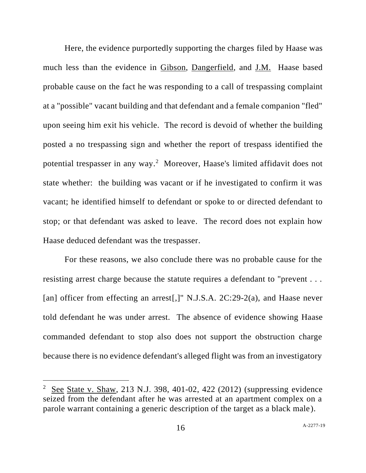Here, the evidence purportedly supporting the charges filed by Haase was much less than the evidence in Gibson, Dangerfield, and J.M. Haase based probable cause on the fact he was responding to a call of trespassing complaint at a "possible" vacant building and that defendant and a female companion "fled" upon seeing him exit his vehicle. The record is devoid of whether the building posted a no trespassing sign and whether the report of trespass identified the potential trespasser in any way.<sup>2</sup> Moreover, Haase's limited affidavit does not state whether: the building was vacant or if he investigated to confirm it was vacant; he identified himself to defendant or spoke to or directed defendant to stop; or that defendant was asked to leave. The record does not explain how Haase deduced defendant was the trespasser.

For these reasons, we also conclude there was no probable cause for the resisting arrest charge because the statute requires a defendant to "prevent . . . [an] officer from effecting an arrest[,]" N.J.S.A. 2C:29-2(a), and Haase never told defendant he was under arrest. The absence of evidence showing Haase commanded defendant to stop also does not support the obstruction charge because there is no evidence defendant's alleged flight was from an investigatory

<sup>&</sup>lt;sup>2</sup> See State v. Shaw, 213 N.J. 398, 401-02, 422 (2012) (suppressing evidence seized from the defendant after he was arrested at an apartment complex on a parole warrant containing a generic description of the target as a black male).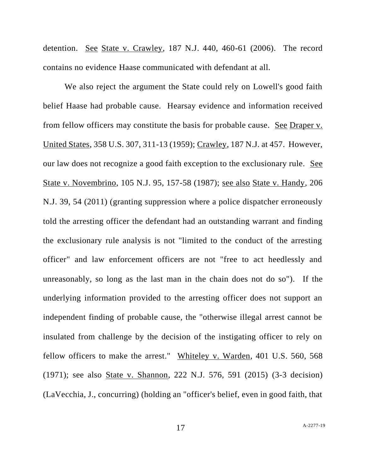detention. See State v. Crawley, 187 N.J. 440, 460-61 (2006). The record contains no evidence Haase communicated with defendant at all.

We also reject the argument the State could rely on Lowell's good faith belief Haase had probable cause. Hearsay evidence and information received from fellow officers may constitute the basis for probable cause. See Draper v. United States, 358 U.S. 307, 311-13 (1959); Crawley, 187 N.J. at 457. However, our law does not recognize a good faith exception to the exclusionary rule. See State v. Novembrino, 105 N.J. 95, 157-58 (1987); see also State v. Handy, 206 N.J. 39, 54 (2011) (granting suppression where a police dispatcher erroneously told the arresting officer the defendant had an outstanding warrant and finding the exclusionary rule analysis is not "limited to the conduct of the arresting officer" and law enforcement officers are not "free to act heedlessly and unreasonably, so long as the last man in the chain does not do so"). If the underlying information provided to the arresting officer does not support an independent finding of probable cause, the "otherwise illegal arrest cannot be insulated from challenge by the decision of the instigating officer to rely on fellow officers to make the arrest." Whiteley v. Warden, 401 U.S. 560, 568 (1971); see also State v. Shannon, 222 N.J. 576, 591 (2015) (3-3 decision) (LaVecchia, J., concurring) (holding an "officer's belief, even in good faith, that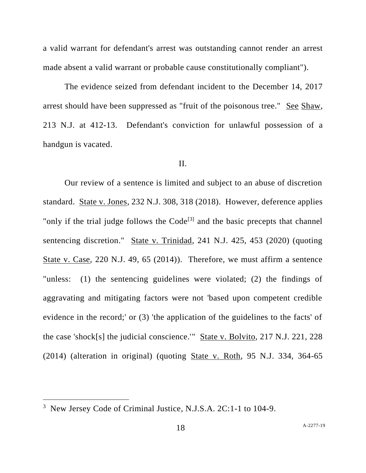a valid warrant for defendant's arrest was outstanding cannot render an arrest made absent a valid warrant or probable cause constitutionally compliant").

The evidence seized from defendant incident to the December 14, 2017 arrest should have been suppressed as "fruit of the poisonous tree." See Shaw, 213 N.J. at 412-13. Defendant's conviction for unlawful possession of a handgun is vacated.

## II.

Our review of a sentence is limited and subject to an abuse of discretion standard. State v. Jones, 232 N.J. 308, 318 (2018). However, deference applies "only if the trial judge follows the  $Code^{[3]}$  and the basic precepts that channel sentencing discretion." State v. Trinidad, 241 N.J. 425, 453 (2020) (quoting State v. Case, 220 N.J. 49, 65 (2014)). Therefore, we must affirm a sentence "unless: (1) the sentencing guidelines were violated; (2) the findings of aggravating and mitigating factors were not 'based upon competent credible evidence in the record;' or (3) 'the application of the guidelines to the facts' of the case 'shock[s] the judicial conscience.'" State v. Bolvito, 217 N.J. 221, 228 (2014) (alteration in original) (quoting State v. Roth, 95 N.J. 334, 364-65

<sup>&</sup>lt;sup>3</sup> New Jersey Code of Criminal Justice, N.J.S.A. 2C:1-1 to 104-9.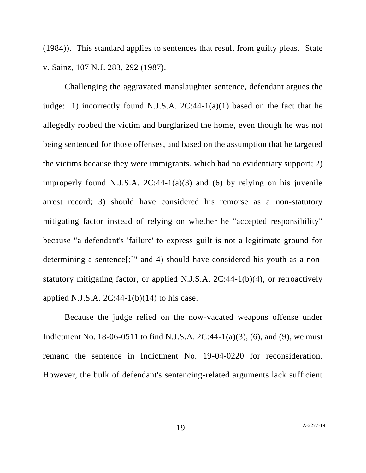(1984)). This standard applies to sentences that result from guilty pleas. State v. Sainz, 107 N.J. 283, 292 (1987).

Challenging the aggravated manslaughter sentence, defendant argues the judge: 1) incorrectly found N.J.S.A.  $2C:44-1(a)(1)$  based on the fact that he allegedly robbed the victim and burglarized the home, even though he was not being sentenced for those offenses, and based on the assumption that he targeted the victims because they were immigrants, which had no evidentiary support; 2) improperly found N.J.S.A.  $2C:44-1(a)(3)$  and (6) by relying on his juvenile arrest record; 3) should have considered his remorse as a non-statutory mitigating factor instead of relying on whether he "accepted responsibility" because "a defendant's 'failure' to express guilt is not a legitimate ground for determining a sentence[;]" and 4) should have considered his youth as a nonstatutory mitigating factor, or applied N.J.S.A. 2C:44-1(b)(4), or retroactively applied N.J.S.A.  $2C:44-1(b)(14)$  to his case.

Because the judge relied on the now-vacated weapons offense under Indictment No. 18-06-0511 to find N.J.S.A.  $2C:44-1(a)(3)$ , (6), and (9), we must remand the sentence in Indictment No. 19-04-0220 for reconsideration. However, the bulk of defendant's sentencing-related arguments lack sufficient